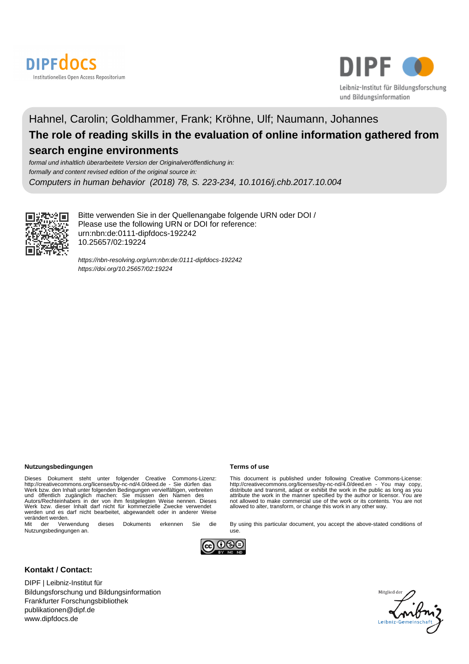



## Hahnel, Carolin; Goldhammer, Frank; Kröhne, Ulf; Naumann, Johannes **The role of reading skills in the evaluation of online information gathered from search engine environments**

formal und inhaltlich überarbeitete Version der Originalveröffentlichung in: formally and content revised edition of the original source in: Computers in human behavior (2018) 78, S. 223-234, 10.1016/j.chb.2017.10.004



Bitte verwenden Sie in der Quellenangabe folgende URN oder DOI / Please use the following URN or DOI for reference: urn:nbn:de:0111-dipfdocs-192242 10.25657/02:19224

<https://nbn-resolving.org/urn:nbn:de:0111-dipfdocs-192242> <https://doi.org/10.25657/02:19224>

#### **Nutzungsbedingungen Terms of use**

Dieses Dokument steht unter folgender Creative Commons-Lizenz:<br>http://creativecommons.org/licenses/by-nc-nd/4.0/deed.de - Sie dürfen das<br>Werk bzw. den Inhalt unter folgenden Bedingungen vervielfältigen, verbreiten<br>und öffe werden und es darf nicht bearbeitet, abgewandelt oder in anderer Weise verändert werden.<br>Mit der Verwendung

dieses Dokuments erkennen Sie die Nutzungsbedingungen an.



#### **Kontakt / Contact:**

DIPF | Leibniz-Institut für Bildungsforschung und Bildungsinformation Frankfurter Forschungsbibliothek publikationen@dipf.de www.dipfdocs.de

This document is published under following Creative Commons-License:<br>http://creativecommons.org/licenses/by-nc-nd/4.0/deed.en - You may copy,<br>distribute and transmit, adapt or exhibit the work in the public as long as you<br> not allowed to make commercial use of the work or its contents. You are not allowed to alter, transform, or change this work in any other way.

By using this particular document, you accept the above-stated conditions of use.



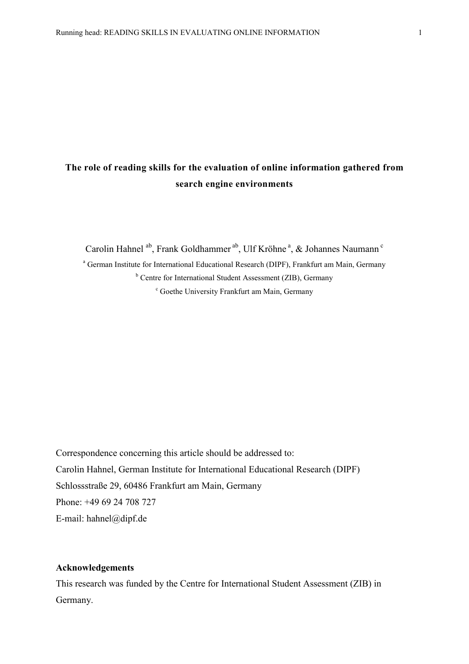## **The role of reading skills for the evaluation of online information gathered from search engine environments**

Carolin Hahnel <sup>ab</sup>, Frank Goldhammer <sup>ab</sup>, Ulf Kröhne<sup>a</sup>, & Johannes Naumann<sup>c</sup>

<sup>a</sup> German Institute for International Educational Research (DIPF), Frankfurt am Main, Germany <sup>b</sup> Centre for International Student Assessment (ZIB), Germany <sup>c</sup> Goethe University Frankfurt am Main, Germany

Correspondence concerning this article should be addressed to: Carolin Hahnel, German Institute for International Educational Research (DIPF) Schlossstraße 29, 60486 Frankfurt am Main, Germany Phone: +49 69 24 708 727 E-mail: hahnel@dipf.de

### **Acknowledgements**

This research was funded by the Centre for International Student Assessment (ZIB) in Germany.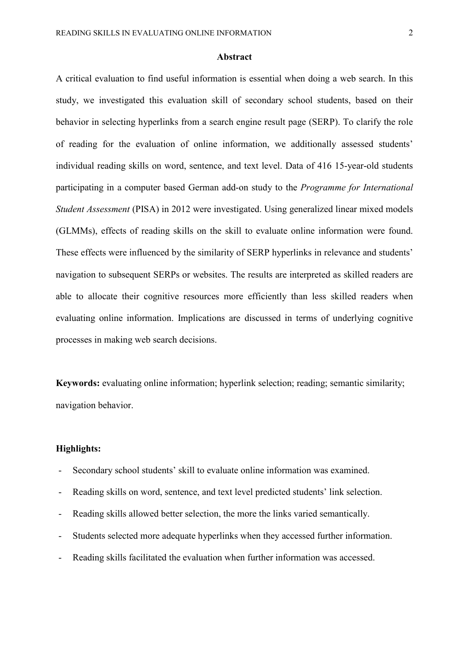#### **Abstract**

A critical evaluation to find useful information is essential when doing a web search. In this study, we investigated this evaluation skill of secondary school students, based on their behavior in selecting hyperlinks from a search engine result page (SERP). To clarify the role of reading for the evaluation of online information, we additionally assessed students' individual reading skills on word, sentence, and text level. Data of 416 15-year-old students participating in a computer based German add-on study to the *Programme for International Student Assessment* (PISA) in 2012 were investigated. Using generalized linear mixed models (GLMMs), effects of reading skills on the skill to evaluate online information were found. These effects were influenced by the similarity of SERP hyperlinks in relevance and students' navigation to subsequent SERPs or websites. The results are interpreted as skilled readers are able to allocate their cognitive resources more efficiently than less skilled readers when evaluating online information. Implications are discussed in terms of underlying cognitive processes in making web search decisions.

**Keywords:** evaluating online information; hyperlink selection; reading; semantic similarity; navigation behavior.

#### **Highlights:**

- Secondary school students' skill to evaluate online information was examined.
- Reading skills on word, sentence, and text level predicted students' link selection.
- Reading skills allowed better selection, the more the links varied semantically.
- Students selected more adequate hyperlinks when they accessed further information.
- Reading skills facilitated the evaluation when further information was accessed.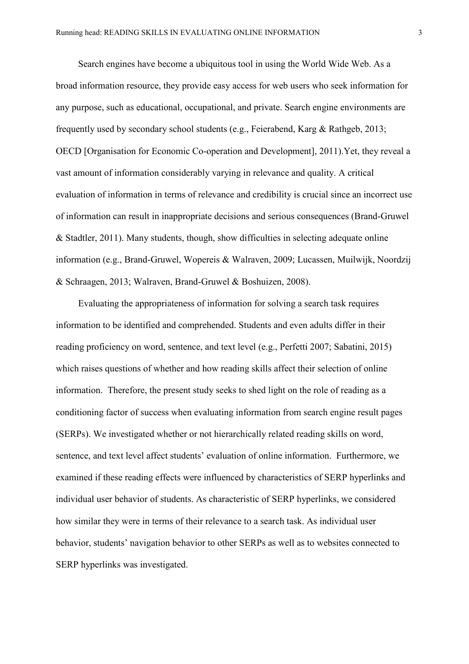Search engines have become a ubiquitous tool in using the World Wide Web. As a broad information resource, they provide easy access for web users who seek information for any purpose, such as educational, occupational, and private. Search engine environments are frequently used by secondary school students (e.g., Feierabend, Karg & Rathgeb, 2013; OECD [Organisation for Economic Co-operation and Development], 2011).Yet, they reveal a vast amount of information considerably varying in relevance and quality. A critical evaluation of information in terms of relevance and credibility is crucial since an incorrect use of information can result in inappropriate decisions and serious consequences (Brand-Gruwel & Stadtler, 2011). Many students, though, show difficulties in selecting adequate online information (e.g., Brand-Gruwel, Wopereis & Walraven, 2009; Lucassen, Muilwijk, Noordzij & Schraagen, 2013; Walraven, Brand-Gruwel & Boshuizen, 2008).

Evaluating the appropriateness of information for solving a search task requires information to be identified and comprehended. Students and even adults differ in their reading proficiency on word, sentence, and text level (e.g., Perfetti 2007; Sabatini, 2015) which raises questions of whether and how reading skills affect their selection of online information. Therefore, the present study seeks to shed light on the role of reading as a conditioning factor of success when evaluating information from search engine result pages (SERPs). We investigated whether or not hierarchically related reading skills on word, sentence, and text level affect students' evaluation of online information. Furthermore, we examined if these reading effects were influenced by characteristics of SERP hyperlinks and individual user behavior of students. As characteristic of SERP hyperlinks, we considered how similar they were in terms of their relevance to a search task. As individual user behavior, students' navigation behavior to other SERPs as well as to websites connected to SERP hyperlinks was investigated.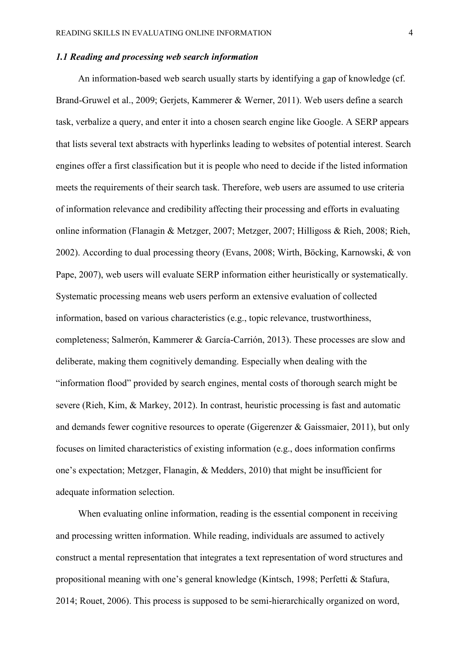#### *1.1 Reading and processing web search information*

An information-based web search usually starts by identifying a gap of knowledge (cf. Brand-Gruwel et al., 2009; Gerjets, Kammerer & Werner, 2011). Web users define a search task, verbalize a query, and enter it into a chosen search engine like Google. A SERP appears that lists several text abstracts with hyperlinks leading to websites of potential interest. Search engines offer a first classification but it is people who need to decide if the listed information meets the requirements of their search task. Therefore, web users are assumed to use criteria of information relevance and credibility affecting their processing and efforts in evaluating online information (Flanagin & Metzger, 2007; Metzger, 2007; Hilligoss & Rieh, 2008; Rieh, 2002). According to dual processing theory (Evans, 2008; Wirth, Böcking, Karnowski, & von Pape, 2007), web users will evaluate SERP information either heuristically or systematically. Systematic processing means web users perform an extensive evaluation of collected information, based on various characteristics (e.g., topic relevance, trustworthiness, completeness; Salmerón, Kammerer & García-Carrión, 2013). These processes are slow and deliberate, making them cognitively demanding. Especially when dealing with the "information flood" provided by search engines, mental costs of thorough search might be severe (Rieh, Kim, & Markey, 2012). In contrast, heuristic processing is fast and automatic and demands fewer cognitive resources to operate (Gigerenzer & Gaissmaier, 2011), but only focuses on limited characteristics of existing information (e.g., does information confirms one's expectation; Metzger, Flanagin, & Medders, 2010) that might be insufficient for adequate information selection.

When evaluating online information, reading is the essential component in receiving and processing written information. While reading, individuals are assumed to actively construct a mental representation that integrates a text representation of word structures and propositional meaning with one's general knowledge (Kintsch, 1998; Perfetti & Stafura, 2014; Rouet, 2006). This process is supposed to be semi-hierarchically organized on word,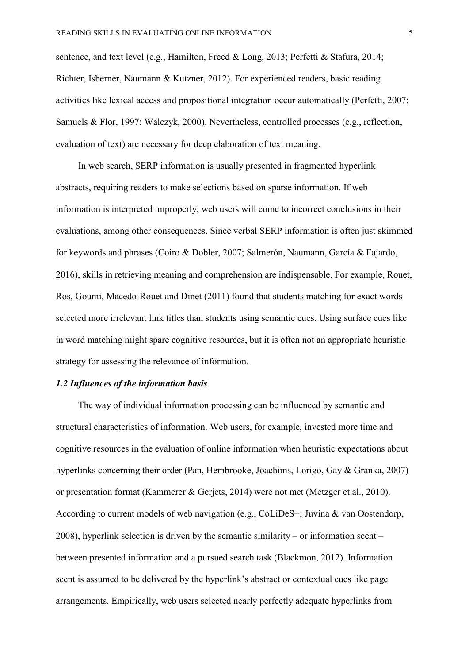sentence, and text level (e.g., Hamilton, Freed & Long, 2013; Perfetti & Stafura, 2014; Richter, Isberner, Naumann & Kutzner, 2012). For experienced readers, basic reading activities like lexical access and propositional integration occur automatically (Perfetti, 2007; Samuels & Flor, 1997; Walczyk, 2000). Nevertheless, controlled processes (e.g., reflection, evaluation of text) are necessary for deep elaboration of text meaning.

In web search, SERP information is usually presented in fragmented hyperlink abstracts, requiring readers to make selections based on sparse information. If web information is interpreted improperly, web users will come to incorrect conclusions in their evaluations, among other consequences. Since verbal SERP information is often just skimmed for keywords and phrases (Coiro & Dobler, 2007; Salmerón, Naumann, García & Fajardo, 2016), skills in retrieving meaning and comprehension are indispensable. For example, Rouet, Ros, Goumi, Macedo-Rouet and Dinet (2011) found that students matching for exact words selected more irrelevant link titles than students using semantic cues. Using surface cues like in word matching might spare cognitive resources, but it is often not an appropriate heuristic strategy for assessing the relevance of information.

### *1.2 Influences of the information basis*

The way of individual information processing can be influenced by semantic and structural characteristics of information. Web users, for example, invested more time and cognitive resources in the evaluation of online information when heuristic expectations about hyperlinks concerning their order (Pan, Hembrooke, Joachims, Lorigo, Gay & Granka, 2007) or presentation format (Kammerer & Gerjets, 2014) were not met (Metzger et al., 2010). According to current models of web navigation (e.g., CoLiDeS+; Juvina & van Oostendorp, 2008), hyperlink selection is driven by the semantic similarity – or information scent – between presented information and a pursued search task (Blackmon, 2012). Information scent is assumed to be delivered by the hyperlink's abstract or contextual cues like page arrangements. Empirically, web users selected nearly perfectly adequate hyperlinks from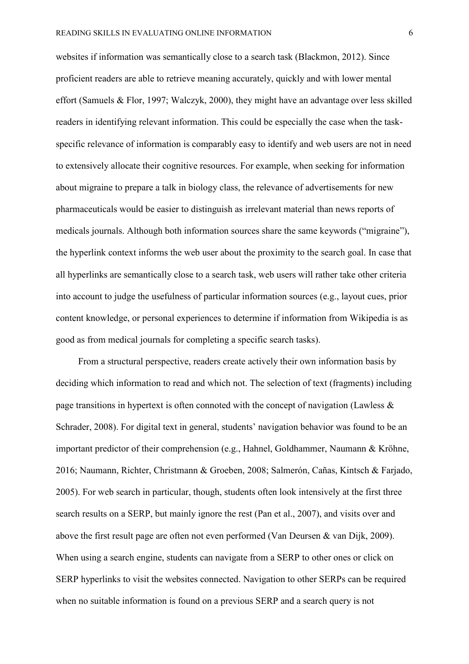websites if information was semantically close to a search task (Blackmon, 2012). Since proficient readers are able to retrieve meaning accurately, quickly and with lower mental effort (Samuels & Flor, 1997; Walczyk, 2000), they might have an advantage over less skilled readers in identifying relevant information. This could be especially the case when the taskspecific relevance of information is comparably easy to identify and web users are not in need to extensively allocate their cognitive resources. For example, when seeking for information about migraine to prepare a talk in biology class, the relevance of advertisements for new pharmaceuticals would be easier to distinguish as irrelevant material than news reports of medicals journals. Although both information sources share the same keywords ("migraine"), the hyperlink context informs the web user about the proximity to the search goal. In case that all hyperlinks are semantically close to a search task, web users will rather take other criteria into account to judge the usefulness of particular information sources (e.g., layout cues, prior content knowledge, or personal experiences to determine if information from Wikipedia is as good as from medical journals for completing a specific search tasks).

From a structural perspective, readers create actively their own information basis by deciding which information to read and which not. The selection of text (fragments) including page transitions in hypertext is often connoted with the concept of navigation (Lawless & Schrader, 2008). For digital text in general, students' navigation behavior was found to be an important predictor of their comprehension (e.g., Hahnel, Goldhammer, Naumann & Kröhne, 2016; Naumann, Richter, Christmann & Groeben, 2008; Salmerón, Cañas, Kintsch & Farjado, 2005). For web search in particular, though, students often look intensively at the first three search results on a SERP, but mainly ignore the rest (Pan et al., 2007), and visits over and above the first result page are often not even performed (Van Deursen & van Dijk, 2009). When using a search engine, students can navigate from a SERP to other ones or click on SERP hyperlinks to visit the websites connected. Navigation to other SERPs can be required when no suitable information is found on a previous SERP and a search query is not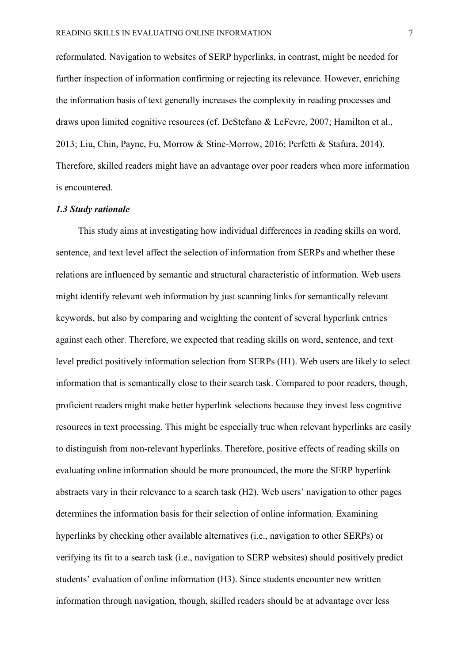reformulated. Navigation to websites of SERP hyperlinks, in contrast, might be needed for further inspection of information confirming or rejecting its relevance. However, enriching the information basis of text generally increases the complexity in reading processes and draws upon limited cognitive resources (cf. DeStefano & LeFevre, 2007; Hamilton et al., 2013; Liu, Chin, Payne, Fu, Morrow & Stine-Morrow, 2016; Perfetti & Stafura, 2014). Therefore, skilled readers might have an advantage over poor readers when more information is encountered.

#### *1.3 Study rationale*

This study aims at investigating how individual differences in reading skills on word, sentence, and text level affect the selection of information from SERPs and whether these relations are influenced by semantic and structural characteristic of information. Web users might identify relevant web information by just scanning links for semantically relevant keywords, but also by comparing and weighting the content of several hyperlink entries against each other. Therefore, we expected that reading skills on word, sentence, and text level predict positively information selection from SERPs (H1). Web users are likely to select information that is semantically close to their search task. Compared to poor readers, though, proficient readers might make better hyperlink selections because they invest less cognitive resources in text processing. This might be especially true when relevant hyperlinks are easily to distinguish from non-relevant hyperlinks. Therefore, positive effects of reading skills on evaluating online information should be more pronounced, the more the SERP hyperlink abstracts vary in their relevance to a search task (H2). Web users' navigation to other pages determines the information basis for their selection of online information. Examining hyperlinks by checking other available alternatives (i.e., navigation to other SERPs) or verifying its fit to a search task (i.e., navigation to SERP websites) should positively predict students' evaluation of online information (H3). Since students encounter new written information through navigation, though, skilled readers should be at advantage over less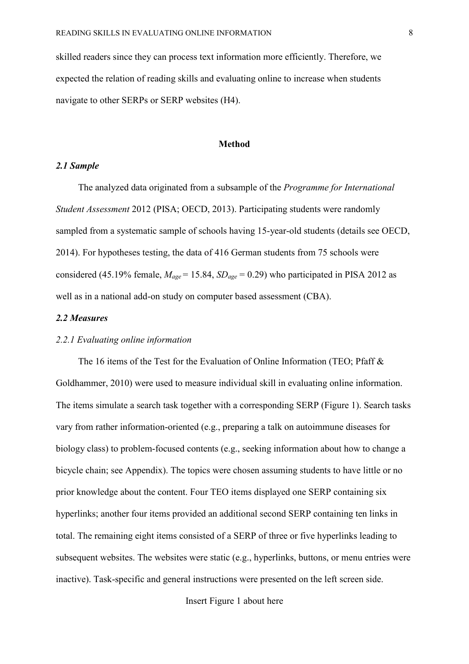skilled readers since they can process text information more efficiently. Therefore, we expected the relation of reading skills and evaluating online to increase when students navigate to other SERPs or SERP websites (H4).

#### **Method**

#### *2.1 Sample*

The analyzed data originated from a subsample of the *Programme for International Student Assessment* 2012 (PISA; OECD, 2013). Participating students were randomly sampled from a systematic sample of schools having 15-year-old students (details see OECD, 2014). For hypotheses testing, the data of 416 German students from 75 schools were considered (45.19% female,  $M_{\text{age}} = 15.84$ ,  $SD_{\text{age}} = 0.29$ ) who participated in PISA 2012 as well as in a national add-on study on computer based assessment (CBA).

#### *2.2 Measures*

#### *2.2.1 Evaluating online information*

The 16 items of the Test for the Evaluation of Online Information (TEO; Pfaff & Goldhammer, 2010) were used to measure individual skill in evaluating online information. The items simulate a search task together with a corresponding SERP (Figure 1). Search tasks vary from rather information-oriented (e.g., preparing a talk on autoimmune diseases for biology class) to problem-focused contents (e.g., seeking information about how to change a bicycle chain; see Appendix). The topics were chosen assuming students to have little or no prior knowledge about the content. Four TEO items displayed one SERP containing six hyperlinks; another four items provided an additional second SERP containing ten links in total. The remaining eight items consisted of a SERP of three or five hyperlinks leading to subsequent websites. The websites were static (e.g., hyperlinks, buttons, or menu entries were inactive). Task-specific and general instructions were presented on the left screen side.

Insert Figure 1 about here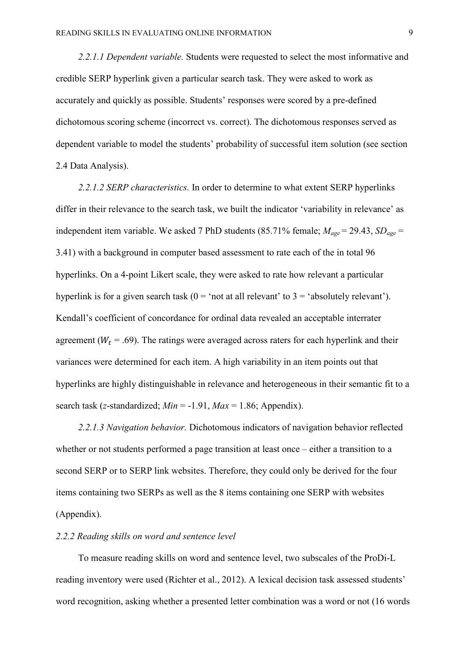*2.2.1.1 Dependent variable.* Students were requested to select the most informative and credible SERP hyperlink given a particular search task. They were asked to work as accurately and quickly as possible. Students' responses were scored by a pre-defined dichotomous scoring scheme (incorrect vs. correct). The dichotomous responses served as dependent variable to model the students' probability of successful item solution (see section 2.4 Data Analysis).

*2.2.1.2 SERP characteristics.* In order to determine to what extent SERP hyperlinks differ in their relevance to the search task, we built the indicator 'variability in relevance' as independent item variable. We asked 7 PhD students (85.71% female;  $M_{\text{age}} = 29.43$ ,  $SD_{\text{age}} =$ 3.41) with a background in computer based assessment to rate each of the in total 96 hyperlinks. On a 4-point Likert scale, they were asked to rate how relevant a particular hyperlink is for a given search task ( $0 = \text{`not at all relevant'}$  to  $3 = \text{`absolutely relevant'}$ ). Kendall's coefficient of concordance for ordinal data revealed an acceptable interrater agreement ( $W_t = .69$ ). The ratings were averaged across raters for each hyperlink and their variances were determined for each item. A high variability in an item points out that hyperlinks are highly distinguishable in relevance and heterogeneous in their semantic fit to a search task (*z*-standardized; *Min* = -1.91, *Max* = 1.86; Appendix).

*2.2.1.3 Navigation behavior.* Dichotomous indicators of navigation behavior reflected whether or not students performed a page transition at least once – either a transition to a second SERP or to SERP link websites. Therefore, they could only be derived for the four items containing two SERPs as well as the 8 items containing one SERP with websites (Appendix).

#### *2.2.2 Reading skills on word and sentence level*

To measure reading skills on word and sentence level, two subscales of the ProDi-L reading inventory were used (Richter et al., 2012). A lexical decision task assessed students' word recognition, asking whether a presented letter combination was a word or not (16 words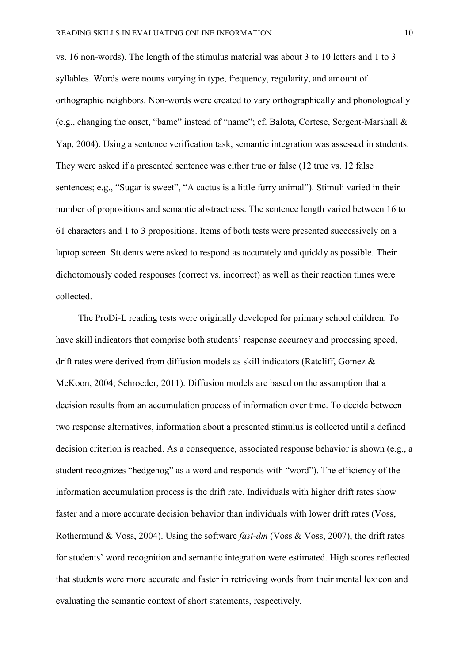vs. 16 non-words). The length of the stimulus material was about 3 to 10 letters and 1 to 3 syllables. Words were nouns varying in type, frequency, regularity, and amount of orthographic neighbors. Non-words were created to vary orthographically and phonologically (e.g., changing the onset, "bame" instead of "name"; cf. Balota, Cortese, Sergent-Marshall & Yap, 2004). Using a sentence verification task, semantic integration was assessed in students. They were asked if a presented sentence was either true or false (12 true vs. 12 false sentences; e.g., "Sugar is sweet", "A cactus is a little furry animal"). Stimuli varied in their number of propositions and semantic abstractness. The sentence length varied between 16 to 61 characters and 1 to 3 propositions. Items of both tests were presented successively on a laptop screen. Students were asked to respond as accurately and quickly as possible. Their dichotomously coded responses (correct vs. incorrect) as well as their reaction times were collected.

The ProDi-L reading tests were originally developed for primary school children. To have skill indicators that comprise both students' response accuracy and processing speed, drift rates were derived from diffusion models as skill indicators (Ratcliff, Gomez & McKoon, 2004; Schroeder, 2011). Diffusion models are based on the assumption that a decision results from an accumulation process of information over time. To decide between two response alternatives, information about a presented stimulus is collected until a defined decision criterion is reached. As a consequence, associated response behavior is shown (e.g., a student recognizes "hedgehog" as a word and responds with "word"). The efficiency of the information accumulation process is the drift rate. Individuals with higher drift rates show faster and a more accurate decision behavior than individuals with lower drift rates (Voss, Rothermund & Voss, 2004). Using the software *fast-dm* (Voss & Voss, 2007), the drift rates for students' word recognition and semantic integration were estimated. High scores reflected that students were more accurate and faster in retrieving words from their mental lexicon and evaluating the semantic context of short statements, respectively.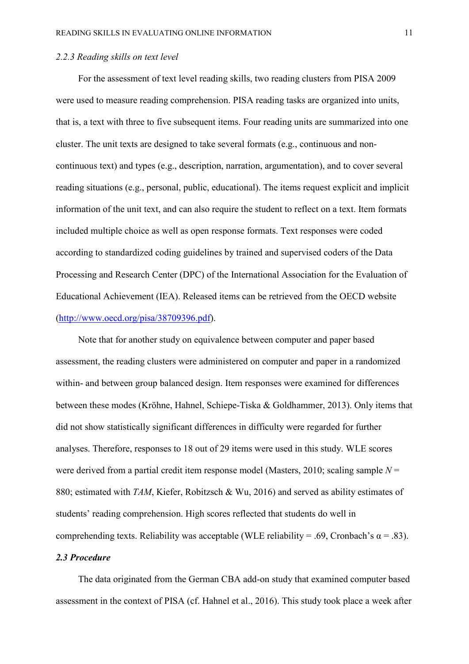#### *2.2.3 Reading skills on text level*

For the assessment of text level reading skills, two reading clusters from PISA 2009 were used to measure reading comprehension. PISA reading tasks are organized into units, that is, a text with three to five subsequent items. Four reading units are summarized into one cluster. The unit texts are designed to take several formats (e.g., continuous and noncontinuous text) and types (e.g., description, narration, argumentation), and to cover several reading situations (e.g., personal, public, educational). The items request explicit and implicit information of the unit text, and can also require the student to reflect on a text. Item formats included multiple choice as well as open response formats. Text responses were coded according to standardized coding guidelines by trained and supervised coders of the Data Processing and Research Center (DPC) of the International Association for the Evaluation of Educational Achievement (IEA). Released items can be retrieved from the OECD website [\(http://www.oecd.org/pisa/38709396.pdf\)](http://www.oecd.org/pisa/38709396.pdf).

Note that for another study on equivalence between computer and paper based assessment, the reading clusters were administered on computer and paper in a randomized within- and between group balanced design. Item responses were examined for differences between these modes (Kröhne, Hahnel, Schiepe-Tiska & Goldhammer, 2013). Only items that did not show statistically significant differences in difficulty were regarded for further analyses. Therefore, responses to 18 out of 29 items were used in this study. WLE scores were derived from a partial credit item response model (Masters, 2010; scaling sample *N* = 880; estimated with *TAM*, Kiefer, Robitzsch & Wu, 2016) and served as ability estimates of students' reading comprehension. High scores reflected that students do well in comprehending texts. Reliability was acceptable (WLE reliability = .69, Cronbach's  $\alpha$  = .83). *2.3 Procedure* 

The data originated from the German CBA add-on study that examined computer based assessment in the context of PISA (cf. Hahnel et al., 2016). This study took place a week after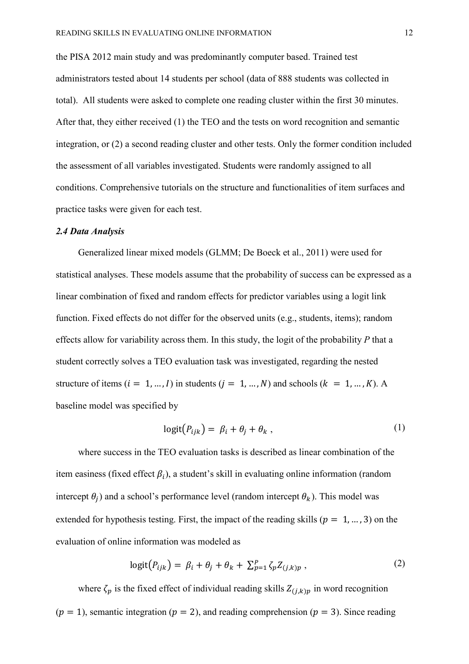the PISA 2012 main study and was predominantly computer based. Trained test administrators tested about 14 students per school (data of 888 students was collected in total). All students were asked to complete one reading cluster within the first 30 minutes. After that, they either received (1) the TEO and the tests on word recognition and semantic integration, or (2) a second reading cluster and other tests. Only the former condition included the assessment of all variables investigated. Students were randomly assigned to all conditions. Comprehensive tutorials on the structure and functionalities of item surfaces and practice tasks were given for each test.

#### *2.4 Data Analysis*

Generalized linear mixed models (GLMM; De Boeck et al., 2011) were used for statistical analyses. These models assume that the probability of success can be expressed as a linear combination of fixed and random effects for predictor variables using a logit link function. Fixed effects do not differ for the observed units (e.g., students, items); random effects allow for variability across them. In this study, the logit of the probability *P* that a student correctly solves a TEO evaluation task was investigated, regarding the nested structure of items  $(i = 1, ..., I)$  in students  $(j = 1, ..., N)$  and schools  $(k = 1, ..., K)$ . A baseline model was specified by

$$
logit(P_{ijk}) = \beta_i + \theta_j + \theta_k , \qquad (1)
$$

where success in the TEO evaluation tasks is described as linear combination of the item easiness (fixed effect  $\beta_i$ ), a student's skill in evaluating online information (random intercept  $\theta_i$ ) and a school's performance level (random intercept  $\theta_k$ ). This model was extended for hypothesis testing. First, the impact of the reading skills ( $p = 1, ..., 3$ ) on the evaluation of online information was modeled as

$$
logit(P_{ijk}) = \beta_i + \theta_j + \theta_k + \sum_{p=1}^{P} \zeta_p Z_{(j,k)p} ,
$$
 (2)

where  $\zeta_p$  is the fixed effect of individual reading skills  $Z_{(i,k)p}$  in word recognition  $(p = 1)$ , semantic integration  $(p = 2)$ , and reading comprehension  $(p = 3)$ . Since reading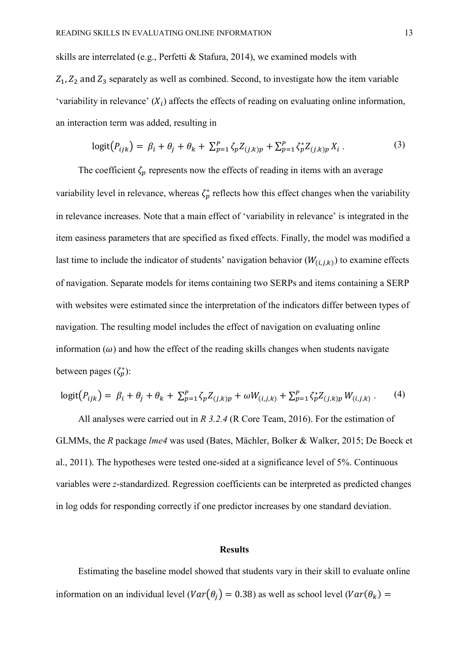skills are interrelated (e.g., Perfetti & Stafura, 2014), we examined models with  $Z_1, Z_2$  and  $Z_3$  separately as well as combined. Second, to investigate how the item variable 'variability in relevance'  $(X_i)$  affects the effects of reading on evaluating online information, an interaction term was added, resulting in

$$
logit(P_{ijk}) = \beta_i + \theta_j + \theta_k + \sum_{p=1}^P \zeta_p Z_{(j,k)p} + \sum_{p=1}^P \zeta_p^* Z_{(j,k)p} X_i.
$$
 (3)

The coefficient  $\zeta_p$  represents now the effects of reading in items with an average variability level in relevance, whereas  $\zeta_p^*$  reflects how this effect changes when the variability in relevance increases. Note that a main effect of 'variability in relevance' is integrated in the item easiness parameters that are specified as fixed effects. Finally, the model was modified a last time to include the indicator of students' navigation behavior ( $W_{(i,j,k)}$ ) to examine effects of navigation. Separate models for items containing two SERPs and items containing a SERP with websites were estimated since the interpretation of the indicators differ between types of navigation. The resulting model includes the effect of navigation on evaluating online information  $(\omega)$  and how the effect of the reading skills changes when students navigate between pages  $(\zeta_p^*)$ :

$$
logit(P_{ijk}) = \beta_i + \theta_j + \theta_k + \sum_{p=1}^P \zeta_p Z_{(j,k)p} + \omega W_{(i,j,k)} + \sum_{p=1}^P \zeta_p^* Z_{(j,k)p} W_{(i,j,k)}.
$$
 (4)

All analyses were carried out in *R 3.2.4* (R Core Team, 2016). For the estimation of GLMMs, the *R* package *lme4* was used (Bates, Mächler, Bolker & Walker, 2015; De Boeck et al., 2011). The hypotheses were tested one-sided at a significance level of 5%. Continuous variables were *z*-standardized. Regression coefficients can be interpreted as predicted changes in log odds for responding correctly if one predictor increases by one standard deviation.

#### **Results**

Estimating the baseline model showed that students vary in their skill to evaluate online information on an individual level ( $Var(\theta_i) = 0.38$ ) as well as school level ( $Var(\theta_k) =$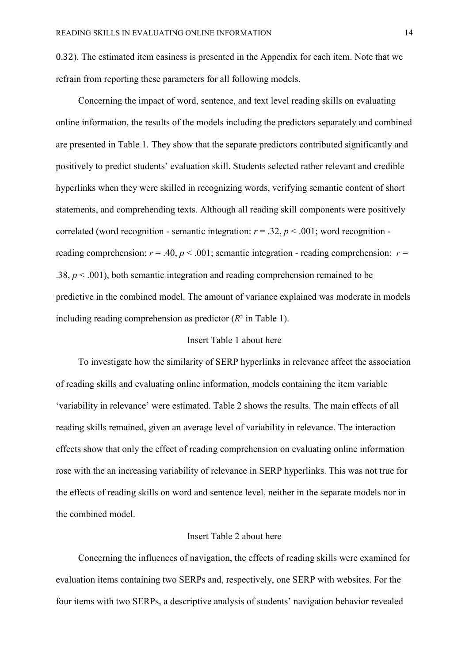0.32). The estimated item easiness is presented in the Appendix for each item. Note that we refrain from reporting these parameters for all following models.

Concerning the impact of word, sentence, and text level reading skills on evaluating online information, the results of the models including the predictors separately and combined are presented in Table 1. They show that the separate predictors contributed significantly and positively to predict students' evaluation skill. Students selected rather relevant and credible hyperlinks when they were skilled in recognizing words, verifying semantic content of short statements, and comprehending texts. Although all reading skill components were positively correlated (word recognition - semantic integration:  $r = .32$ ,  $p < .001$ ; word recognition reading comprehension:  $r = .40$ ,  $p < .001$ ; semantic integration - reading comprehension:  $r =$ .38,  $p < .001$ ), both semantic integration and reading comprehension remained to be predictive in the combined model. The amount of variance explained was moderate in models including reading comprehension as predictor (*R*² in Table 1).

### Insert Table 1 about here

To investigate how the similarity of SERP hyperlinks in relevance affect the association of reading skills and evaluating online information, models containing the item variable 'variability in relevance' were estimated. Table 2 shows the results. The main effects of all reading skills remained, given an average level of variability in relevance. The interaction effects show that only the effect of reading comprehension on evaluating online information rose with the an increasing variability of relevance in SERP hyperlinks. This was not true for the effects of reading skills on word and sentence level, neither in the separate models nor in the combined model.

#### Insert Table 2 about here

Concerning the influences of navigation, the effects of reading skills were examined for evaluation items containing two SERPs and, respectively, one SERP with websites. For the four items with two SERPs, a descriptive analysis of students' navigation behavior revealed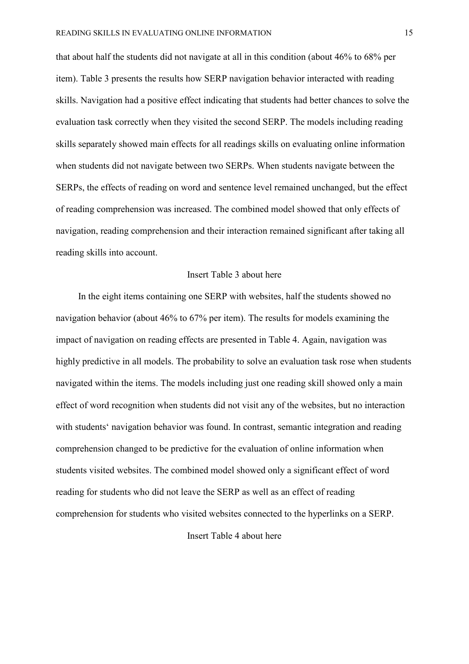that about half the students did not navigate at all in this condition (about 46% to 68% per item). Table 3 presents the results how SERP navigation behavior interacted with reading skills. Navigation had a positive effect indicating that students had better chances to solve the evaluation task correctly when they visited the second SERP. The models including reading skills separately showed main effects for all readings skills on evaluating online information when students did not navigate between two SERPs. When students navigate between the SERPs, the effects of reading on word and sentence level remained unchanged, but the effect of reading comprehension was increased. The combined model showed that only effects of navigation, reading comprehension and their interaction remained significant after taking all reading skills into account.

#### Insert Table 3 about here

In the eight items containing one SERP with websites, half the students showed no navigation behavior (about 46% to 67% per item). The results for models examining the impact of navigation on reading effects are presented in Table 4. Again, navigation was highly predictive in all models. The probability to solve an evaluation task rose when students navigated within the items. The models including just one reading skill showed only a main effect of word recognition when students did not visit any of the websites, but no interaction with students' navigation behavior was found. In contrast, semantic integration and reading comprehension changed to be predictive for the evaluation of online information when students visited websites. The combined model showed only a significant effect of word reading for students who did not leave the SERP as well as an effect of reading comprehension for students who visited websites connected to the hyperlinks on a SERP.

Insert Table 4 about here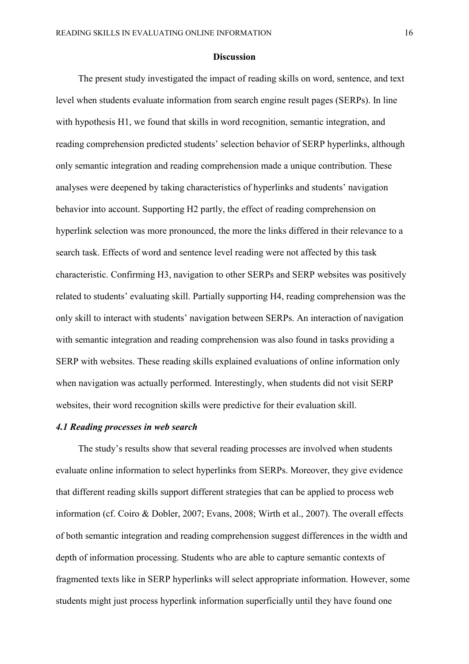#### **Discussion**

The present study investigated the impact of reading skills on word, sentence, and text level when students evaluate information from search engine result pages (SERPs). In line with hypothesis H1, we found that skills in word recognition, semantic integration, and reading comprehension predicted students' selection behavior of SERP hyperlinks, although only semantic integration and reading comprehension made a unique contribution. These analyses were deepened by taking characteristics of hyperlinks and students' navigation behavior into account. Supporting H2 partly, the effect of reading comprehension on hyperlink selection was more pronounced, the more the links differed in their relevance to a search task. Effects of word and sentence level reading were not affected by this task characteristic. Confirming H3, navigation to other SERPs and SERP websites was positively related to students' evaluating skill. Partially supporting H4, reading comprehension was the only skill to interact with students' navigation between SERPs. An interaction of navigation with semantic integration and reading comprehension was also found in tasks providing a SERP with websites. These reading skills explained evaluations of online information only when navigation was actually performed. Interestingly, when students did not visit SERP websites, their word recognition skills were predictive for their evaluation skill.

#### *4.1 Reading processes in web search*

The study's results show that several reading processes are involved when students evaluate online information to select hyperlinks from SERPs. Moreover, they give evidence that different reading skills support different strategies that can be applied to process web information (cf. Coiro & Dobler, 2007; Evans, 2008; Wirth et al., 2007). The overall effects of both semantic integration and reading comprehension suggest differences in the width and depth of information processing. Students who are able to capture semantic contexts of fragmented texts like in SERP hyperlinks will select appropriate information. However, some students might just process hyperlink information superficially until they have found one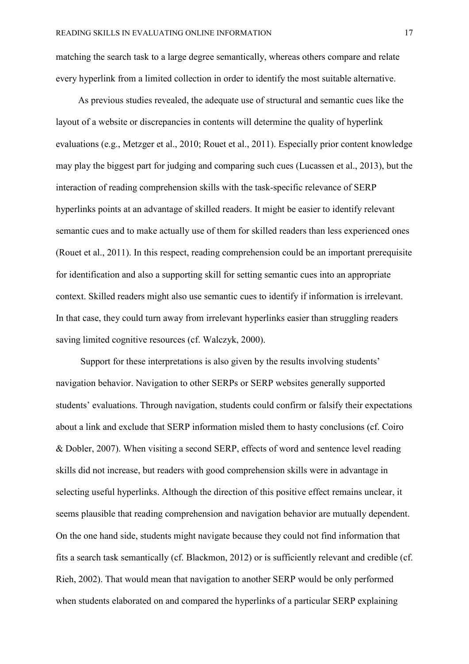matching the search task to a large degree semantically, whereas others compare and relate every hyperlink from a limited collection in order to identify the most suitable alternative.

As previous studies revealed, the adequate use of structural and semantic cues like the layout of a website or discrepancies in contents will determine the quality of hyperlink evaluations (e.g., Metzger et al., 2010; Rouet et al., 2011). Especially prior content knowledge may play the biggest part for judging and comparing such cues (Lucassen et al., 2013), but the interaction of reading comprehension skills with the task-specific relevance of SERP hyperlinks points at an advantage of skilled readers. It might be easier to identify relevant semantic cues and to make actually use of them for skilled readers than less experienced ones (Rouet et al., 2011). In this respect, reading comprehension could be an important prerequisite for identification and also a supporting skill for setting semantic cues into an appropriate context. Skilled readers might also use semantic cues to identify if information is irrelevant. In that case, they could turn away from irrelevant hyperlinks easier than struggling readers saving limited cognitive resources (cf. Walczyk, 2000).

 Support for these interpretations is also given by the results involving students' navigation behavior. Navigation to other SERPs or SERP websites generally supported students' evaluations. Through navigation, students could confirm or falsify their expectations about a link and exclude that SERP information misled them to hasty conclusions (cf. Coiro & Dobler, 2007). When visiting a second SERP, effects of word and sentence level reading skills did not increase, but readers with good comprehension skills were in advantage in selecting useful hyperlinks. Although the direction of this positive effect remains unclear, it seems plausible that reading comprehension and navigation behavior are mutually dependent. On the one hand side, students might navigate because they could not find information that fits a search task semantically (cf. Blackmon, 2012) or is sufficiently relevant and credible (cf. Rieh, 2002). That would mean that navigation to another SERP would be only performed when students elaborated on and compared the hyperlinks of a particular SERP explaining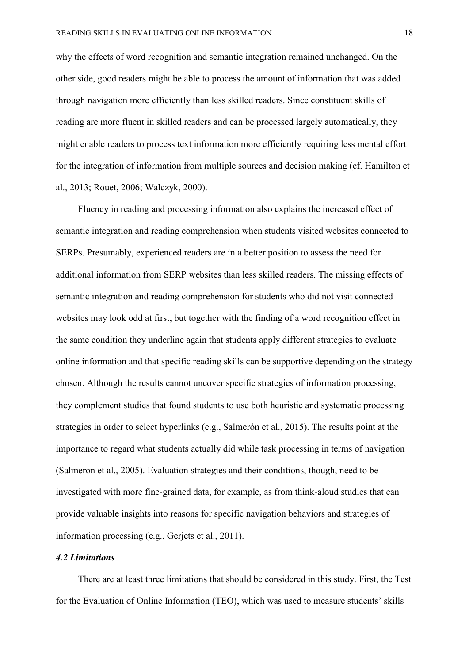why the effects of word recognition and semantic integration remained unchanged. On the other side, good readers might be able to process the amount of information that was added through navigation more efficiently than less skilled readers. Since constituent skills of reading are more fluent in skilled readers and can be processed largely automatically, they might enable readers to process text information more efficiently requiring less mental effort for the integration of information from multiple sources and decision making (cf. Hamilton et al., 2013; Rouet, 2006; Walczyk, 2000).

Fluency in reading and processing information also explains the increased effect of semantic integration and reading comprehension when students visited websites connected to SERPs. Presumably, experienced readers are in a better position to assess the need for additional information from SERP websites than less skilled readers. The missing effects of semantic integration and reading comprehension for students who did not visit connected websites may look odd at first, but together with the finding of a word recognition effect in the same condition they underline again that students apply different strategies to evaluate online information and that specific reading skills can be supportive depending on the strategy chosen. Although the results cannot uncover specific strategies of information processing, they complement studies that found students to use both heuristic and systematic processing strategies in order to select hyperlinks (e.g., Salmerón et al., 2015). The results point at the importance to regard what students actually did while task processing in terms of navigation (Salmerón et al., 2005). Evaluation strategies and their conditions, though, need to be investigated with more fine-grained data, for example, as from think-aloud studies that can provide valuable insights into reasons for specific navigation behaviors and strategies of information processing (e.g., Gerjets et al., 2011).

### *4.2 Limitations*

There are at least three limitations that should be considered in this study. First, the Test for the Evaluation of Online Information (TEO), which was used to measure students' skills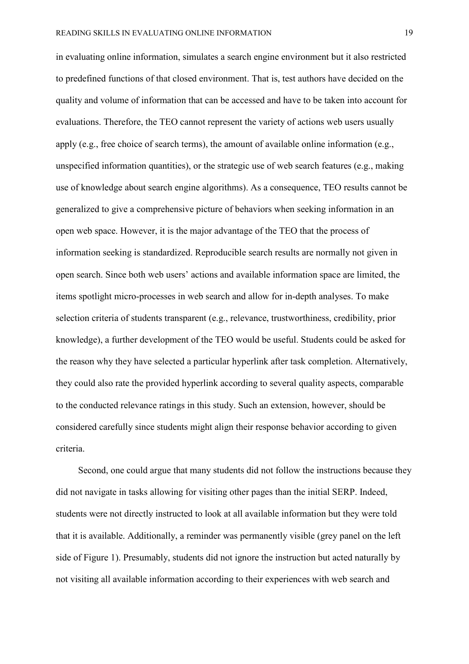in evaluating online information, simulates a search engine environment but it also restricted to predefined functions of that closed environment. That is, test authors have decided on the quality and volume of information that can be accessed and have to be taken into account for evaluations. Therefore, the TEO cannot represent the variety of actions web users usually apply (e.g., free choice of search terms), the amount of available online information (e.g., unspecified information quantities), or the strategic use of web search features (e.g., making use of knowledge about search engine algorithms). As a consequence, TEO results cannot be generalized to give a comprehensive picture of behaviors when seeking information in an open web space. However, it is the major advantage of the TEO that the process of information seeking is standardized. Reproducible search results are normally not given in open search. Since both web users' actions and available information space are limited, the items spotlight micro-processes in web search and allow for in-depth analyses. To make selection criteria of students transparent (e.g., relevance, trustworthiness, credibility, prior knowledge), a further development of the TEO would be useful. Students could be asked for the reason why they have selected a particular hyperlink after task completion. Alternatively, they could also rate the provided hyperlink according to several quality aspects, comparable to the conducted relevance ratings in this study. Such an extension, however, should be considered carefully since students might align their response behavior according to given criteria.

Second, one could argue that many students did not follow the instructions because they did not navigate in tasks allowing for visiting other pages than the initial SERP. Indeed, students were not directly instructed to look at all available information but they were told that it is available. Additionally, a reminder was permanently visible (grey panel on the left side of Figure 1). Presumably, students did not ignore the instruction but acted naturally by not visiting all available information according to their experiences with web search and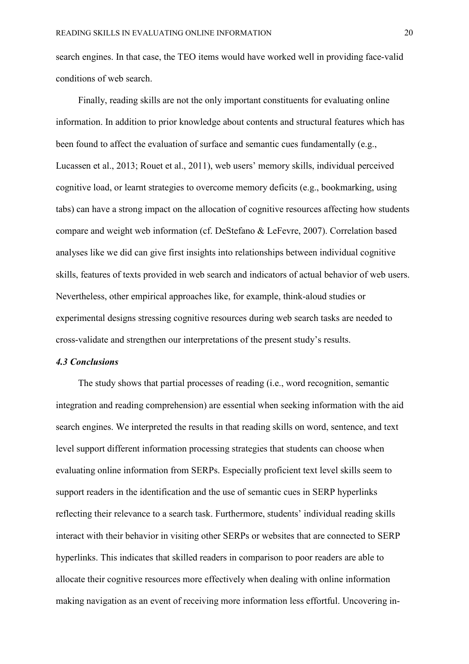search engines. In that case, the TEO items would have worked well in providing face-valid conditions of web search.

Finally, reading skills are not the only important constituents for evaluating online information. In addition to prior knowledge about contents and structural features which has been found to affect the evaluation of surface and semantic cues fundamentally (e.g., Lucassen et al., 2013; Rouet et al., 2011), web users' memory skills, individual perceived cognitive load, or learnt strategies to overcome memory deficits (e.g., bookmarking, using tabs) can have a strong impact on the allocation of cognitive resources affecting how students compare and weight web information (cf. DeStefano & LeFevre, 2007). Correlation based analyses like we did can give first insights into relationships between individual cognitive skills, features of texts provided in web search and indicators of actual behavior of web users. Nevertheless, other empirical approaches like, for example, think-aloud studies or experimental designs stressing cognitive resources during web search tasks are needed to cross-validate and strengthen our interpretations of the present study's results.

#### *4.3 Conclusions*

The study shows that partial processes of reading (i.e., word recognition, semantic integration and reading comprehension) are essential when seeking information with the aid search engines. We interpreted the results in that reading skills on word, sentence, and text level support different information processing strategies that students can choose when evaluating online information from SERPs. Especially proficient text level skills seem to support readers in the identification and the use of semantic cues in SERP hyperlinks reflecting their relevance to a search task. Furthermore, students' individual reading skills interact with their behavior in visiting other SERPs or websites that are connected to SERP hyperlinks. This indicates that skilled readers in comparison to poor readers are able to allocate their cognitive resources more effectively when dealing with online information making navigation as an event of receiving more information less effortful. Uncovering in-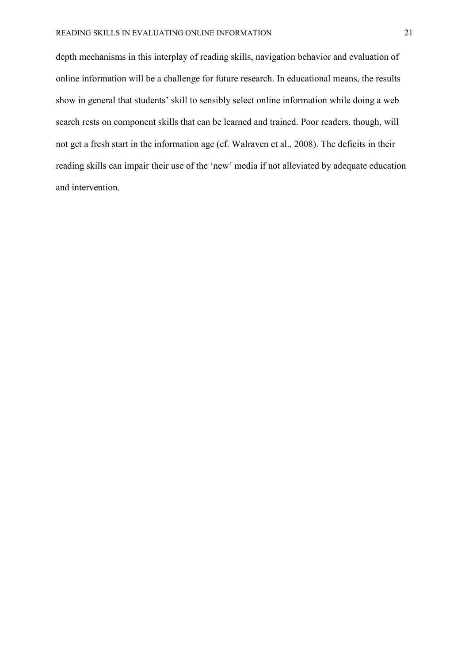depth mechanisms in this interplay of reading skills, navigation behavior and evaluation of online information will be a challenge for future research. In educational means, the results show in general that students' skill to sensibly select online information while doing a web search rests on component skills that can be learned and trained. Poor readers, though, will not get a fresh start in the information age (cf. Walraven et al., 2008). The deficits in their reading skills can impair their use of the 'new' media if not alleviated by adequate education and intervention.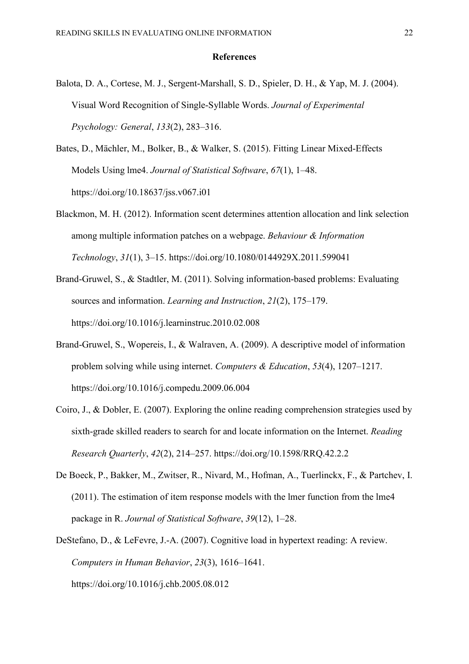#### **References**

- Balota, D. A., Cortese, M. J., Sergent-Marshall, S. D., Spieler, D. H., & Yap, M. J. (2004). Visual Word Recognition of Single-Syllable Words. *Journal of Experimental Psychology: General*, *133*(2), 283–316.
- Bates, D., Mächler, M., Bolker, B., & Walker, S. (2015). Fitting Linear Mixed-Effects Models Using lme4. *Journal of Statistical Software*, *67*(1), 1–48. https://doi.org/10.18637/jss.v067.i01
- Blackmon, M. H. (2012). Information scent determines attention allocation and link selection among multiple information patches on a webpage. *Behaviour & Information Technology*, *31*(1), 3–15. https://doi.org/10.1080/0144929X.2011.599041
- Brand-Gruwel, S., & Stadtler, M. (2011). Solving information-based problems: Evaluating sources and information. *Learning and Instruction*, *21*(2), 175–179. https://doi.org/10.1016/j.learninstruc.2010.02.008
- Brand-Gruwel, S., Wopereis, I., & Walraven, A. (2009). A descriptive model of information problem solving while using internet. *Computers & Education*, *53*(4), 1207–1217. https://doi.org/10.1016/j.compedu.2009.06.004
- Coiro, J., & Dobler, E. (2007). Exploring the online reading comprehension strategies used by sixth-grade skilled readers to search for and locate information on the Internet. *Reading Research Quarterly*, *42*(2), 214–257. https://doi.org/10.1598/RRQ.42.2.2
- De Boeck, P., Bakker, M., Zwitser, R., Nivard, M., Hofman, A., Tuerlinckx, F., & Partchev, I. (2011). The estimation of item response models with the lmer function from the lme4 package in R. *Journal of Statistical Software*, *39*(12), 1–28.
- DeStefano, D., & LeFevre, J.-A. (2007). Cognitive load in hypertext reading: A review. *Computers in Human Behavior*, *23*(3), 1616–1641. https://doi.org/10.1016/j.chb.2005.08.012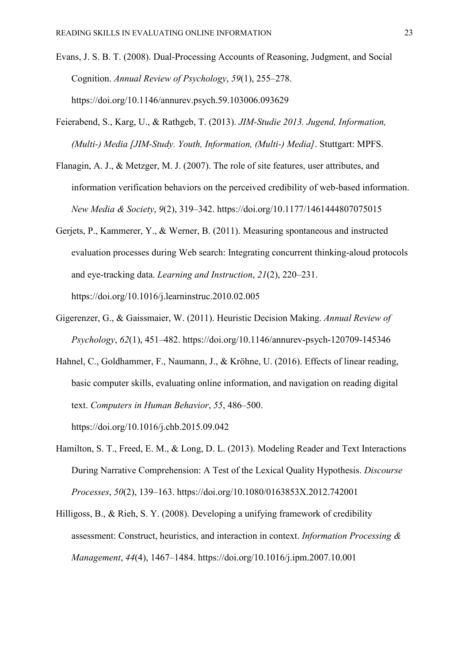- Evans, J. S. B. T. (2008). Dual-Processing Accounts of Reasoning, Judgment, and Social Cognition. *Annual Review of Psychology*, *59*(1), 255–278. https://doi.org/10.1146/annurev.psych.59.103006.093629
- Feierabend, S., Karg, U., & Rathgeb, T. (2013). *JIM-Studie 2013. Jugend, Information, (Multi-) Media [JIM-Study. Youth, Information, (Multi-) Media]*. Stuttgart: MPFS.
- Flanagin, A. J., & Metzger, M. J. (2007). The role of site features, user attributes, and information verification behaviors on the perceived credibility of web-based information. *New Media & Society*, *9*(2), 319–342. https://doi.org/10.1177/1461444807075015
- Gerjets, P., Kammerer, Y., & Werner, B. (2011). Measuring spontaneous and instructed evaluation processes during Web search: Integrating concurrent thinking-aloud protocols and eye-tracking data. *Learning and Instruction*, *21*(2), 220–231. https://doi.org/10.1016/j.learninstruc.2010.02.005
- Gigerenzer, G., & Gaissmaier, W. (2011). Heuristic Decision Making. *Annual Review of Psychology*, *62*(1), 451–482. https://doi.org/10.1146/annurev-psych-120709-145346
- Hahnel, C., Goldhammer, F., Naumann, J., & Kröhne, U. (2016). Effects of linear reading, basic computer skills, evaluating online information, and navigation on reading digital text. *Computers in Human Behavior*, *55*, 486–500. https://doi.org/10.1016/j.chb.2015.09.042
- Hamilton, S. T., Freed, E. M., & Long, D. L. (2013). Modeling Reader and Text Interactions During Narrative Comprehension: A Test of the Lexical Quality Hypothesis. *Discourse Processes*, *50*(2), 139–163. https://doi.org/10.1080/0163853X.2012.742001
- Hilligoss, B., & Rieh, S. Y. (2008). Developing a unifying framework of credibility assessment: Construct, heuristics, and interaction in context. *Information Processing & Management*, *44*(4), 1467–1484. https://doi.org/10.1016/j.ipm.2007.10.001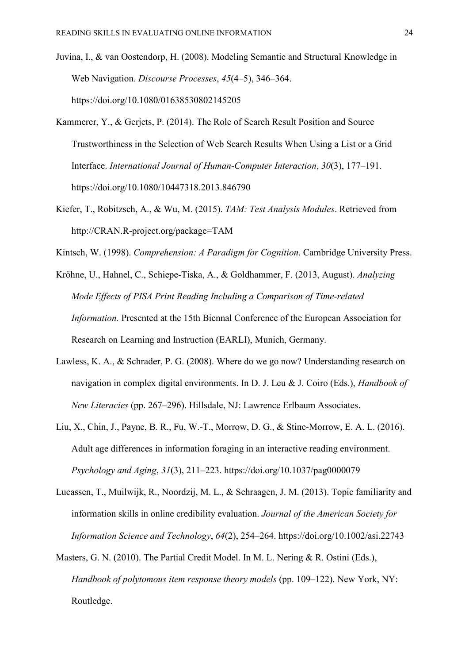- Juvina, I., & van Oostendorp, H. (2008). Modeling Semantic and Structural Knowledge in Web Navigation. *Discourse Processes*, *45*(4–5), 346–364. https://doi.org/10.1080/01638530802145205
- Kammerer, Y., & Gerjets, P. (2014). The Role of Search Result Position and Source Trustworthiness in the Selection of Web Search Results When Using a List or a Grid Interface. *International Journal of Human-Computer Interaction*, *30*(3), 177–191. https://doi.org/10.1080/10447318.2013.846790
- Kiefer, T., Robitzsch, A., & Wu, M. (2015). *TAM: Test Analysis Modules*. Retrieved from http://CRAN.R-project.org/package=TAM
- Kintsch, W. (1998). *Comprehension: A Paradigm for Cognition*. Cambridge University Press.
- Kröhne, U., Hahnel, C., Schiepe-Tiska, A., & Goldhammer, F. (2013, August). *Analyzing Mode Effects of PISA Print Reading Including a Comparison of Time-related Information.* Presented at the 15th Biennal Conference of the European Association for Research on Learning and Instruction (EARLI), Munich, Germany.
- Lawless, K. A., & Schrader, P. G. (2008). Where do we go now? Understanding research on navigation in complex digital environments. In D. J. Leu & J. Coiro (Eds.), *Handbook of New Literacies* (pp. 267–296). Hillsdale, NJ: Lawrence Erlbaum Associates.
- Liu, X., Chin, J., Payne, B. R., Fu, W.-T., Morrow, D. G., & Stine-Morrow, E. A. L. (2016). Adult age differences in information foraging in an interactive reading environment. *Psychology and Aging*, *31*(3), 211–223. https://doi.org/10.1037/pag0000079
- Lucassen, T., Muilwijk, R., Noordzij, M. L., & Schraagen, J. M. (2013). Topic familiarity and information skills in online credibility evaluation. *Journal of the American Society for Information Science and Technology*, *64*(2), 254–264. https://doi.org/10.1002/asi.22743
- Masters, G. N. (2010). The Partial Credit Model. In M. L. Nering & R. Ostini (Eds.), *Handbook of polytomous item response theory models* (pp. 109–122). New York, NY: Routledge.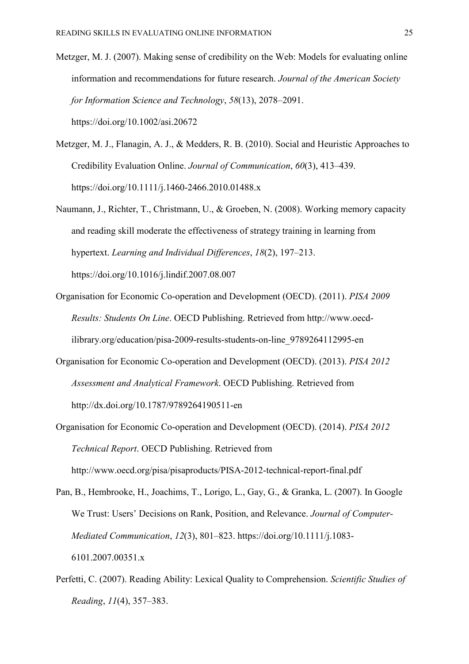- Metzger, M. J. (2007). Making sense of credibility on the Web: Models for evaluating online information and recommendations for future research. *Journal of the American Society for Information Science and Technology*, *58*(13), 2078–2091. https://doi.org/10.1002/asi.20672
- Metzger, M. J., Flanagin, A. J., & Medders, R. B. (2010). Social and Heuristic Approaches to Credibility Evaluation Online. *Journal of Communication*, *60*(3), 413–439. https://doi.org/10.1111/j.1460-2466.2010.01488.x
- Naumann, J., Richter, T., Christmann, U., & Groeben, N. (2008). Working memory capacity and reading skill moderate the effectiveness of strategy training in learning from hypertext. *Learning and Individual Differences*, *18*(2), 197–213. https://doi.org/10.1016/j.lindif.2007.08.007
- Organisation for Economic Co-operation and Development (OECD). (2011). *PISA 2009 Results: Students On Line*. OECD Publishing. Retrieved from http://www.oecdilibrary.org/education/pisa-2009-results-students-on-line\_9789264112995-en
- Organisation for Economic Co-operation and Development (OECD). (2013). *PISA 2012 Assessment and Analytical Framework*. OECD Publishing. Retrieved from http://dx.doi.org/10.1787/9789264190511-en
- Organisation for Economic Co-operation and Development (OECD). (2014). *PISA 2012 Technical Report*. OECD Publishing. Retrieved from http://www.oecd.org/pisa/pisaproducts/PISA-2012-technical-report-final.pdf
- Pan, B., Hembrooke, H., Joachims, T., Lorigo, L., Gay, G., & Granka, L. (2007). In Google We Trust: Users' Decisions on Rank, Position, and Relevance. *Journal of Computer-Mediated Communication*, *12*(3), 801–823. https://doi.org/10.1111/j.1083- 6101.2007.00351.x
- Perfetti, C. (2007). Reading Ability: Lexical Quality to Comprehension. *Scientific Studies of Reading*, *11*(4), 357–383.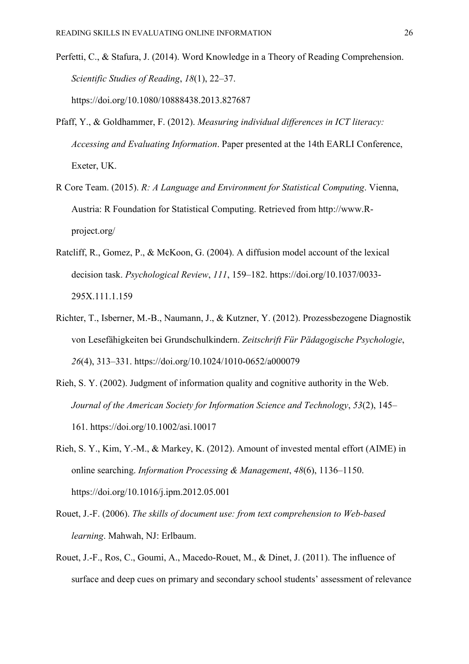- Perfetti, C., & Stafura, J. (2014). Word Knowledge in a Theory of Reading Comprehension. *Scientific Studies of Reading*, *18*(1), 22–37. https://doi.org/10.1080/10888438.2013.827687
- Pfaff, Y., & Goldhammer, F. (2012). *Measuring individual differences in ICT literacy: Accessing and Evaluating Information*. Paper presented at the 14th EARLI Conference, Exeter, UK.
- R Core Team. (2015). *R: A Language and Environment for Statistical Computing*. Vienna, Austria: R Foundation for Statistical Computing. Retrieved from http://www.Rproject.org/
- Ratcliff, R., Gomez, P., & McKoon, G. (2004). A diffusion model account of the lexical decision task. *Psychological Review*, *111*, 159–182. https://doi.org/10.1037/0033- 295X.111.1.159
- Richter, T., Isberner, M.-B., Naumann, J., & Kutzner, Y. (2012). Prozessbezogene Diagnostik von Lesefähigkeiten bei Grundschulkindern. *Zeitschrift Für Pädagogische Psychologie*, *26*(4), 313–331. https://doi.org/10.1024/1010-0652/a000079
- Rieh, S. Y. (2002). Judgment of information quality and cognitive authority in the Web. *Journal of the American Society for Information Science and Technology*, *53*(2), 145– 161. https://doi.org/10.1002/asi.10017
- Rieh, S. Y., Kim, Y.-M., & Markey, K. (2012). Amount of invested mental effort (AIME) in online searching. *Information Processing & Management*, *48*(6), 1136–1150. https://doi.org/10.1016/j.ipm.2012.05.001
- Rouet, J.-F. (2006). *The skills of document use: from text comprehension to Web-based learning*. Mahwah, NJ: Erlbaum.
- Rouet, J.-F., Ros, C., Goumi, A., Macedo-Rouet, M., & Dinet, J. (2011). The influence of surface and deep cues on primary and secondary school students' assessment of relevance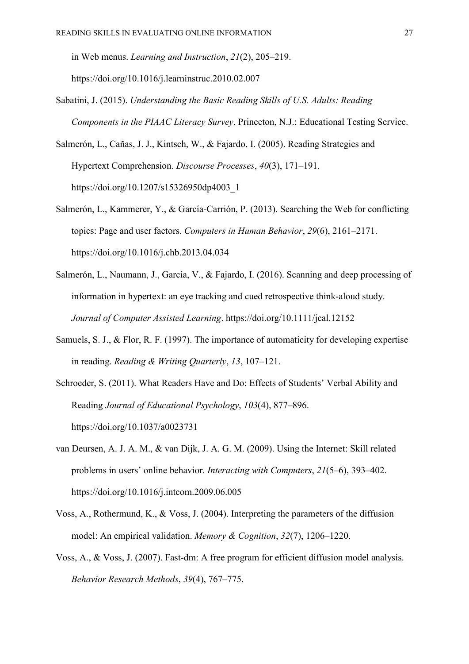in Web menus. *Learning and Instruction*, *21*(2), 205–219. https://doi.org/10.1016/j.learninstruc.2010.02.007

- Sabatini, J. (2015). *Understanding the Basic Reading Skills of U.S. Adults: Reading Components in the PIAAC Literacy Survey*. Princeton, N.J.: Educational Testing Service.
- Salmerón, L., Cañas, J. J., Kintsch, W., & Fajardo, I. (2005). Reading Strategies and Hypertext Comprehension. *Discourse Processes*, *40*(3), 171–191. https://doi.org/10.1207/s15326950dp4003\_1
- Salmerón, L., Kammerer, Y., & García-Carrión, P. (2013). Searching the Web for conflicting topics: Page and user factors. *Computers in Human Behavior*, *29*(6), 2161–2171. https://doi.org/10.1016/j.chb.2013.04.034
- Salmerón, L., Naumann, J., García, V., & Fajardo, I. (2016). Scanning and deep processing of information in hypertext: an eye tracking and cued retrospective think-aloud study. *Journal of Computer Assisted Learning*. https://doi.org/10.1111/jcal.12152
- Samuels, S. J., & Flor, R. F. (1997). The importance of automaticity for developing expertise in reading. *Reading & Writing Quarterly*, *13*, 107–121.
- Schroeder, S. (2011). What Readers Have and Do: Effects of Students' Verbal Ability and Reading *Journal of Educational Psychology*, *103*(4), 877–896. https://doi.org/10.1037/a0023731
- van Deursen, A. J. A. M., & van Dijk, J. A. G. M. (2009). Using the Internet: Skill related problems in users' online behavior. *Interacting with Computers*, *21*(5–6), 393–402. https://doi.org/10.1016/j.intcom.2009.06.005
- Voss, A., Rothermund, K., & Voss, J. (2004). Interpreting the parameters of the diffusion model: An empirical validation. *Memory & Cognition*, *32*(7), 1206–1220.
- Voss, A., & Voss, J. (2007). Fast-dm: A free program for efficient diffusion model analysis. *Behavior Research Methods*, *39*(4), 767–775.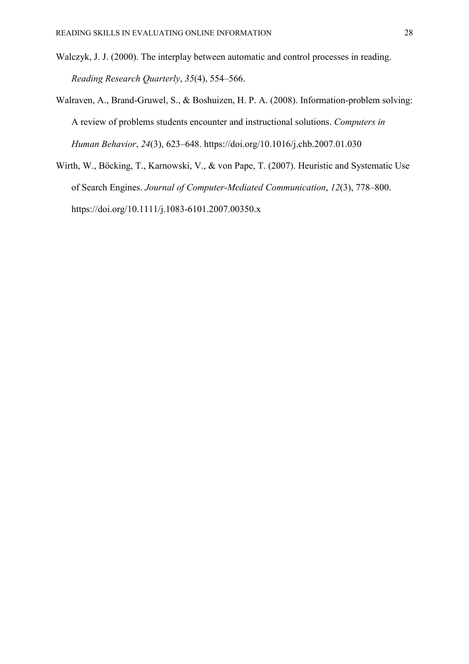- Walczyk, J. J. (2000). The interplay between automatic and control processes in reading. *Reading Research Quarterly*, *35*(4), 554–566.
- Walraven, A., Brand-Gruwel, S., & Boshuizen, H. P. A. (2008). Information-problem solving: A review of problems students encounter and instructional solutions. *Computers in Human Behavior*, *24*(3), 623–648. https://doi.org/10.1016/j.chb.2007.01.030
- Wirth, W., Böcking, T., Karnowski, V., & von Pape, T. (2007). Heuristic and Systematic Use of Search Engines. *Journal of Computer-Mediated Communication*, *12*(3), 778–800. https://doi.org/10.1111/j.1083-6101.2007.00350.x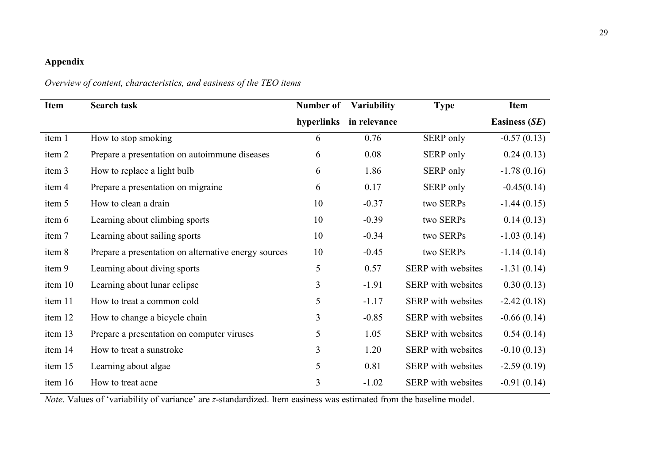# **Appendix**

## *Overview of content, characteristics, and easiness of the TEO items*

| <b>Item</b> | <b>Search task</b>                                   | Number of | <b>Variability</b>      | <b>Type</b>               | Item                 |
|-------------|------------------------------------------------------|-----------|-------------------------|---------------------------|----------------------|
|             |                                                      |           | hyperlinks in relevance |                           | <b>Easiness (SE)</b> |
| item 1      | How to stop smoking                                  | 6         | 0.76                    | SERP only                 | $-0.57(0.13)$        |
| item 2      | Prepare a presentation on autoimmune diseases        | 6         | 0.08                    | SERP only                 | 0.24(0.13)           |
| item 3      | How to replace a light bulb                          | 6         | 1.86                    | SERP only                 | $-1.78(0.16)$        |
| item 4      | Prepare a presentation on migraine                   | 6         | 0.17                    | SERP only                 | $-0.45(0.14)$        |
| item 5      | How to clean a drain                                 | 10        | $-0.37$                 | two SERPs                 | $-1.44(0.15)$        |
| item 6      | Learning about climbing sports                       | 10        | $-0.39$                 | two SERPs                 | 0.14(0.13)           |
| item 7      | Learning about sailing sports                        | 10        | $-0.34$                 | two SERPs                 | $-1.03(0.14)$        |
| item 8      | Prepare a presentation on alternative energy sources | 10        | $-0.45$                 | two SERPs                 | $-1.14(0.14)$        |
| item 9      | Learning about diving sports                         | 5         | 0.57                    | SERP with websites        | $-1.31(0.14)$        |
| item 10     | Learning about lunar eclipse                         | 3         | $-1.91$                 | SERP with websites        | 0.30(0.13)           |
| item 11     | How to treat a common cold                           | 5         | $-1.17$                 | <b>SERP</b> with websites | $-2.42(0.18)$        |
| item 12     | How to change a bicycle chain                        | 3         | $-0.85$                 | SERP with websites        | $-0.66(0.14)$        |
| item 13     | Prepare a presentation on computer viruses           | 5         | 1.05                    | SERP with websites        | 0.54(0.14)           |
| item 14     | How to treat a sunstroke                             | 3         | 1.20                    | SERP with websites        | $-0.10(0.13)$        |
| item 15     | Learning about algae                                 | 5         | 0.81                    | SERP with websites        | $-2.59(0.19)$        |
| item 16     | How to treat acne                                    | 3         | $-1.02$                 | SERP with websites        | $-0.91(0.14)$        |

*Note*. Values of 'variability of variance' are *z*-standardized. Item easiness was estimated from the baseline model.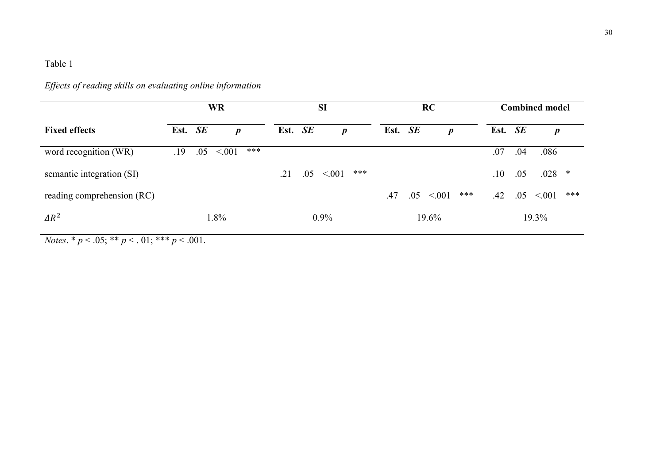| <b>WR</b>            |     |                  | <b>SI</b> |     |                  |       |  |                  | <b>Combined model</b>       |     |                  |     |
|----------------------|-----|------------------|-----------|-----|------------------|-------|--|------------------|-----------------------------|-----|------------------|-----|
|                      |     | $\boldsymbol{p}$ |           |     | $\boldsymbol{p}$ |       |  | $\boldsymbol{p}$ |                             |     | $\boldsymbol{p}$ |     |
| .19                  | .05 | ***<br>< 001     |           |     |                  |       |  |                  | .07                         | .04 | .086             |     |
|                      |     |                  | .21       | .05 | ***<br>< 0.01    |       |  |                  | $.10\,$                     | .05 | $.028$ *         |     |
|                      |     |                  |           |     |                  | .47   |  | ***<br>< 0.01    | .42                         | .05 | < 001            | *** |
| $\Delta R^2$<br>1.8% |     |                  | 0.9%      |     |                  | 19.6% |  |                  | 19.3%                       |     |                  |     |
|                      |     | Est. SE          |           |     | Est. SE          |       |  |                  | <b>RC</b><br>Est. SE<br>.05 |     | Est. SE          |     |

*Effects of reading skills on evaluating online information* 

*Notes*. \*  $p < .05$ ; \*\*  $p < .01$ ; \*\*\*  $p < .001$ .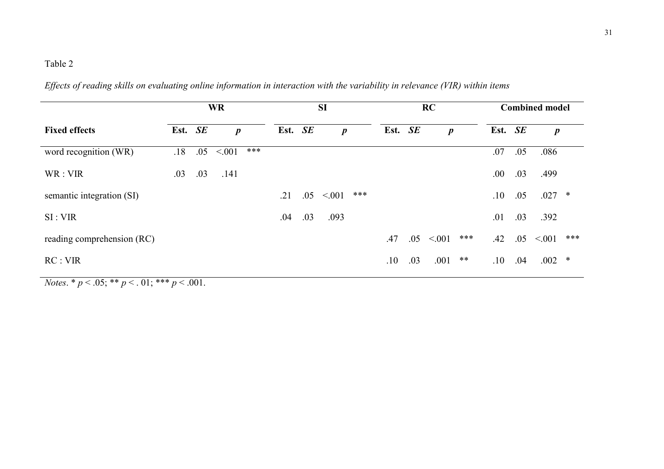|                            |         | <b>WR</b> | <b>SI</b>        |         |     |                  |     | RC      |     | <b>Combined model</b> |     |         |     |                  |     |
|----------------------------|---------|-----------|------------------|---------|-----|------------------|-----|---------|-----|-----------------------|-----|---------|-----|------------------|-----|
| <b>Fixed effects</b>       | Est. SE |           | $\boldsymbol{p}$ | Est. SE |     | $\boldsymbol{p}$ |     | Est. SE |     | $\boldsymbol{p}$      |     | Est. SE |     | $\boldsymbol{p}$ |     |
| word recognition (WR)      | .18     | .05       | ***<br>< 0.01    |         |     |                  |     |         |     |                       |     | .07     | .05 | .086             |     |
| WR : VIR                   | .03     | .03       | .141             |         |     |                  |     |         |     |                       |     | .00.    | .03 | .499             |     |
| semantic integration (SI)  |         |           |                  | .21     | .05 | < 0.01           | *** |         |     |                       |     | .10     | .05 | $.027$ *         |     |
| SI: VIR                    |         |           |                  | .04     | .03 | .093             |     |         |     |                       |     | .01     | .03 | .392             |     |
| reading comprehension (RC) |         |           |                  |         |     |                  |     | .47     | .05 | < 0.01                | *** | .42     | .05 | < 001            | *** |
| RC: VIR                    |         |           |                  |         |     |                  |     | .10     | .03 | .001                  | **  | .10     | .04 | $.002$ *         |     |

*Effects of reading skills on evaluating online information in interaction with the variability in relevance (VIR) within items* 

*Notes.* \*  $p < .05$ ; \*\*  $p < .01$ ; \*\*\*  $p < .001$ .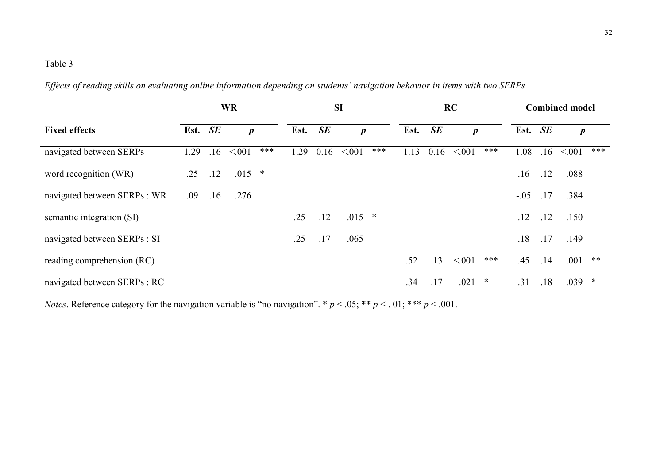|                              |         |     | <b>WR</b>        |      |           | <b>SI</b>        |     |      |      | <b>RC</b> | <b>Combined model</b><br>Est. SE<br>$\boldsymbol{p}$<br>***<br>1.08<br>.16<br>.12<br>.16<br>$-.05$<br>.17<br>.12<br>.12<br>.17<br>.18 |     |     |                  |     |
|------------------------------|---------|-----|------------------|------|-----------|------------------|-----|------|------|-----------|---------------------------------------------------------------------------------------------------------------------------------------|-----|-----|------------------|-----|
| <b>Fixed effects</b>         | Est. SE |     | $\boldsymbol{p}$ | Est. | <b>SE</b> | $\boldsymbol{p}$ |     | Est. | SE   |           |                                                                                                                                       |     |     | $\boldsymbol{p}$ |     |
| navigated between SERPs      | 1.29    | .16 | ***<br>< 0.01    | 1.29 | 0.16      | < 0.01           | *** | 1.13 | 0.16 | < 001     |                                                                                                                                       |     |     | < 001            | *** |
| word recognition (WR)        | .25     | .12 | $.015$ *         |      |           |                  |     |      |      |           |                                                                                                                                       |     |     | .088             |     |
| navigated between SERPs : WR | .09     | .16 | .276             |      |           |                  |     |      |      |           |                                                                                                                                       |     |     | .384             |     |
| semantic integration (SI)    |         |     |                  | .25  | .12       | $.015$ *         |     |      |      |           |                                                                                                                                       |     |     | .150             |     |
| navigated between SERPs : SI |         |     |                  | .25  | .17       | .065             |     |      |      |           |                                                                                                                                       |     |     | .149             |     |
| reading comprehension (RC)   |         |     |                  |      |           |                  |     | .52  | .13  | < 001     | ***                                                                                                                                   | .45 | .14 | .001             | **  |
| navigated between SERPs : RC |         |     |                  |      |           |                  |     | .34  | .17  | .021      | ∗                                                                                                                                     | .31 | .18 | $.039$ *         |     |

*Effects of reading skills on evaluating online information depending on students' navigation behavior in items with two SERPs*

*Notes*. Reference category for the navigation variable is "no navigation". \*  $p < .05$ ; \*\*  $p < .01$ ; \*\*\*  $p < .001$ .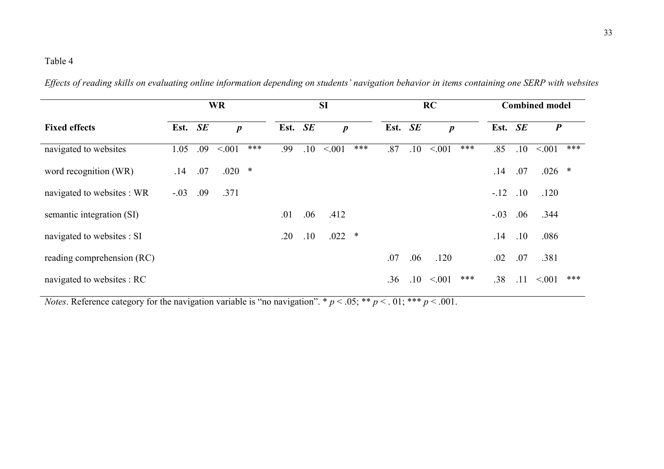|                            | <b>WR</b> |     |                  |     |         | <b>SI</b> |                  |        |         |         | RC               | <b>Combined model</b> |         |                  |  |  |
|----------------------------|-----------|-----|------------------|-----|---------|-----------|------------------|--------|---------|---------|------------------|-----------------------|---------|------------------|--|--|
| <b>Fixed effects</b>       | Est. SE   |     | $\boldsymbol{p}$ |     | Est. SE |           | $\boldsymbol{p}$ |        | Est. SE |         | $\boldsymbol{p}$ | Est. SE               |         | $\boldsymbol{P}$ |  |  |
| navigated to websites      | 1.05      | .09 | < 001            | *** | .99     | .10       | < 0.01           | ***    | .87     | .10     | ***<br>< 001     | .85                   | $.10\,$ | ***<br>< 001     |  |  |
| word recognition (WR)      | .14       | .07 | $.020*$          |     |         |           |                  |        |         |         |                  | .14                   | .07     | $.026$ *         |  |  |
| navigated to websites : WR | $-.03$    | .09 | .371             |     |         |           |                  |        |         |         |                  | $-12$                 | .10     | .120             |  |  |
| semantic integration (SI)  |           |     |                  |     | .01     | .06       | .412             |        |         |         |                  | $-.03$                | .06     | .344             |  |  |
| navigated to websites : SI |           |     |                  |     | .20     | .10       | .022             | $\ast$ |         |         |                  | .14                   | .10     | .086             |  |  |
| reading comprehension (RC) |           |     |                  |     |         |           |                  |        | .07     | .06     | .120             | .02                   | .07     | .381             |  |  |
| navigated to websites : RC |           |     |                  |     |         |           |                  |        | .36     | $.10\,$ | ***<br>< 001     | .38                   | .11     | ***<br>< 0.01    |  |  |

*Effects of reading skills on evaluating online information depending on students' navigation behavior in items containing one SERP with websites* 

*Notes*. Reference category for the navigation variable is "no navigation". \*  $p < .05$ ; \*\*  $p < .01$ ; \*\*\*  $p < .001$ .